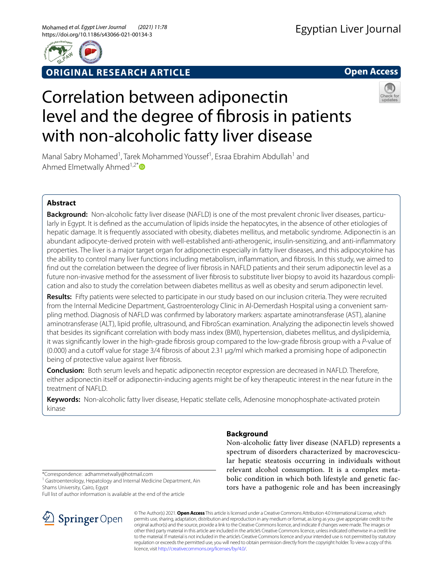

**ORIGINAL RESEARCH ARTICLE**

**Open Access**

# Correlation between adiponectin level and the degree of fbrosis in patients with non-alcoholic fatty liver disease



Manal Sabry Mohamed<sup>1</sup>, Tarek Mohammed Youssef<sup>1</sup>, Esraa Ebrahim Abdullah<sup>1</sup> and Ahmed Elmetwally Ahmed<sup>1,2[\\*](http://orcid.org/0000-0003-1190-4112)</sup> $\bullet$ 

# **Abstract**

**Background:** Non-alcoholic fatty liver disease (NAFLD) is one of the most prevalent chronic liver diseases, particularly in Egypt. It is defned as the accumulation of lipids inside the hepatocytes, in the absence of other etiologies of hepatic damage. It is frequently associated with obesity, diabetes mellitus, and metabolic syndrome. Adiponectin is an abundant adipocyte-derived protein with well-established anti-atherogenic, insulin-sensitizing, and anti-infammatory properties. The liver is a major target organ for adiponectin especially in fatty liver diseases, and this adipocytokine has the ability to control many liver functions including metabolism, infammation, and fbrosis. In this study, we aimed to fnd out the correlation between the degree of liver fbrosis in NAFLD patients and their serum adiponectin level as a future non-invasive method for the assessment of liver fibrosis to substitute liver biopsy to avoid its hazardous complication and also to study the correlation between diabetes mellitus as well as obesity and serum adiponectin level.

**Results:** Fifty patients were selected to participate in our study based on our inclusion criteria. They were recruited from the Internal Medicine Department, Gastroenterology Clinic in Al-Demerdash Hospital using a convenient sampling method. Diagnosis of NAFLD was confrmed by laboratory markers: aspartate aminotransferase (AST), alanine aminotransferase (ALT), lipid profle, ultrasound, and FibroScan examination. Analyzing the adiponectin levels showed that besides its signifcant correlation with body mass index (BMI), hypertension, diabetes mellitus, and dyslipidemia, it was signifcantly lower in the high-grade fbrosis group compared to the low-grade fbrosis group with a *P*-value of  $(0.000)$  and a cutoff value for stage 3/4 fibrosis of about 2.31  $\mu q$ /ml which marked a promising hope of adiponectin being of protective value against liver fbrosis.

**Conclusion:** Both serum levels and hepatic adiponectin receptor expression are decreased in NAFLD. Therefore, either adiponectin itself or adiponectin-inducing agents might be of key therapeutic interest in the near future in the treatment of NAFLD.

**Keywords:** Non-alcoholic fatty liver disease, Hepatic stellate cells, Adenosine monophosphate-activated protein kinase

# **Background**

Non-alcoholic fatty liver disease (NAFLD) represents a spectrum of disorders characterized by macrovescicular hepatic steatosis occurring in individuals without relevant alcohol consumption. It is a complex metabolic condition in which both lifestyle and genetic factors have a pathogenic role and has been increasingly

\*Correspondence: adhammetwally@hotmail.com

<sup>1</sup> Gastroenterology, Hepatology and Internal Medicine Department, Ain Shams University, Cairo, Egypt

Full list of author information is available at the end of the article



© The Author(s) 2021. **Open Access** This article is licensed under a Creative Commons Attribution 4.0 International License, which permits use, sharing, adaptation, distribution and reproduction in any medium or format, as long as you give appropriate credit to the original author(s) and the source, provide a link to the Creative Commons licence, and indicate if changes were made. The images or other third party material in this article are included in the article's Creative Commons licence, unless indicated otherwise in a credit line to the material. If material is not included in the article's Creative Commons licence and your intended use is not permitted by statutory regulation or exceeds the permitted use, you will need to obtain permission directly from the copyright holder. To view a copy of this licence, visit [http://creativecommons.org/licenses/by/4.0/.](http://creativecommons.org/licenses/by/4.0/)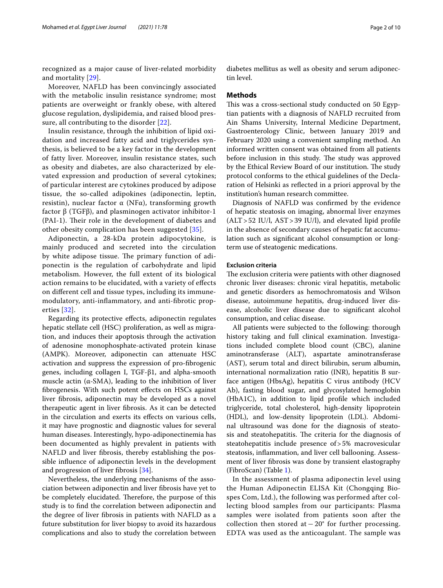recognized as a major cause of liver-related morbidity and mortality [[29\]](#page-9-0).

Moreover, NAFLD has been convincingly associated with the metabolic insulin resistance syndrome; most patients are overweight or frankly obese, with altered glucose regulation, dyslipidemia, and raised blood pressure, all contributing to the disorder [[22](#page-9-1)].

Insulin resistance, through the inhibition of lipid oxidation and increased fatty acid and triglycerides synthesis, is believed to be a key factor in the development of fatty liver. Moreover, insulin resistance states, such as obesity and diabetes, are also characterized by elevated expression and production of several cytokines; of particular interest are cytokines produced by adipose tissue, the so-called adipokines (adiponectin, leptin, resistin), nuclear factor  $\alpha$  (NFα), transforming growth factor β (TGFβ), and plasminogen activator inhibitor-1 (PAI-1). Their role in the development of diabetes and other obesity complication has been suggested [\[35](#page-9-2)].

Adiponectin, a 28-kDa protein adipocytokine, is mainly produced and secreted into the circulation by white adipose tissue. The primary function of adiponectin is the regulation of carbohydrate and lipid metabolism. However, the full extent of its biological action remains to be elucidated, with a variety of efects on diferent cell and tissue types, including its immunemodulatory, anti-infammatory, and anti-fbrotic properties [[32\]](#page-9-3).

Regarding its protective efects, adiponectin regulates hepatic stellate cell (HSC) proliferation, as well as migration, and induces their apoptosis through the activation of adenosine monophosphate-activated protein kinase (AMPK). Moreover, adiponectin can attenuate HSC activation and suppress the expression of pro-fbrogenic genes, including collagen I, TGF-β1, and alpha-smooth muscle actin ( $\alpha$ -SMA), leading to the inhibition of liver fbrogenesis. With such potent efects on HSCs against liver fbrosis, adiponectin may be developed as a novel therapeutic agent in liver fbrosis. As it can be detected in the circulation and exerts its efects on various cells, it may have prognostic and diagnostic values for several human diseases. Interestingly, hypo-adiponectinemia has been documented as highly prevalent in patients with NAFLD and liver fbrosis, thereby establishing the possible infuence of adiponectin levels in the development and progression of liver fbrosis [\[34](#page-9-4)].

Nevertheless, the underlying mechanisms of the association between adiponectin and liver fbrosis have yet to be completely elucidated. Therefore, the purpose of this study is to fnd the correlation between adiponectin and the degree of liver fbrosis in patients with NAFLD as a future substitution for liver biopsy to avoid its hazardous complications and also to study the correlation between diabetes mellitus as well as obesity and serum adiponectin level.

#### **Methods**

This was a cross-sectional study conducted on 50 Egyptian patients with a diagnosis of NAFLD recruited from Ain Shams University, Internal Medicine Department, Gastroenterology Clinic, between January 2019 and February 2020 using a convenient sampling method. An informed written consent was obtained from all patients before inclusion in this study. The study was approved by the Ethical Review Board of our institution. The study protocol conforms to the ethical guidelines of the Declaration of Helsinki as refected in a priori approval by the institution's human research committee.

Diagnosis of NAFLD was confrmed by the evidence of hepatic steatosis on imaging, abnormal liver enzymes  $(ALT > 52$  IU/l,  $AST > 39$  IU/l), and elevated lipid profile in the absence of secondary causes of hepatic fat accumulation such as signifcant alcohol consumption or longterm use of steatogenic medications.

#### **Exclusion criteria**

The exclusion criteria were patients with other diagnosed chronic liver diseases: chronic viral hepatitis, metabolic and genetic disorders as hemochromatosis and Wilson disease, autoimmune hepatitis, drug-induced liver disease, alcoholic liver disease due to signifcant alcohol consumption, and celiac disease.

All patients were subjected to the following: thorough history taking and full clinical examination. Investigations included complete blood count (CBC), alanine aminotransferase (ALT), aspartate aminotransferase (AST), serum total and direct bilirubin, serum albumin, international normalization ratio (INR), hepatitis B surface antigen (HbsAg), hepatitis C virus antibody (HCV Ab), fasting blood sugar, and glycosylated hemoglobin (HbA1C), in addition to lipid profle which included triglyceride, total cholesterol, high-density lipoprotein (HDL), and low-density lipoprotein (LDL). Abdominal ultrasound was done for the diagnosis of steatosis and steatohepatitis. The criteria for the diagnosis of steatohepatitis include presence of>5% macrovesicular steatosis, infammation, and liver cell ballooning. Assessment of liver fbrosis was done by transient elastography (FibroScan) (Table [1](#page-2-0)).

In the assessment of plasma adiponectin level using the Human Adiponectin ELISA Kit (Chongqing Biospes Com, Ltd.), the following was performed after collecting blood samples from our participants: Plasma samples were isolated from patients soon after the collection then stored at  $-20^\circ$  for further processing. EDTA was used as the anticoagulant. The sample was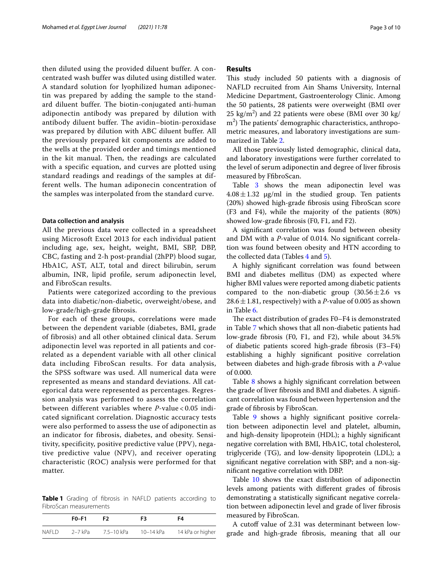then diluted using the provided diluent buffer. A concentrated wash buffer was diluted using distilled water. A standard solution for lyophilized human adiponectin was prepared by adding the sample to the standard diluent buffer. The biotin-conjugated anti-human adiponectin antibody was prepared by dilution with antibody diluent buffer. The avidin–biotin-peroxidase was prepared by dilution with ABC diluent buffer. All the previously prepared kit components are added to the wells at the provided order and timings mentioned in the kit manual. Then, the readings are calculated with a specific equation, and curves are plotted using standard readings and readings of the samples at different wells. The human adiponecin concentration of the samples was interpolated from the standard curve.

## **Data collection and analysis**

All the previous data were collected in a spreadsheet using Microsoft Excel 2013 for each individual patient including age, sex, height, weight, BMI, SBP, DBP, CBC, fasting and 2-h post-prandial (2hPP) blood sugar, HbA1C, AST, ALT, total and direct bilirubin, serum albumin, INR, lipid profle, serum adiponectin level, and FibroScan results.

Patients were categorized according to the previous data into diabetic/non-diabetic, overweight/obese, and low-grade/high-grade fbrosis.

For each of these groups, correlations were made between the dependent variable (diabetes, BMI, grade of fibrosis) and all other obtained clinical data. Serum adiponectin level was reported in all patients and correlated as a dependent variable with all other clinical data including FibroScan results. For data analysis, the SPSS software was used. All numerical data were represented as means and standard deviations. All categorical data were represented as percentages. Regression analysis was performed to assess the correlation between different variables where *P*-value < 0.05 indicated significant correlation. Diagnostic accuracy tests were also performed to assess the use of adiponectin as an indicator for fibrosis, diabetes, and obesity. Sensitivity, specificity, positive predictive value (PPV), negative predictive value (NPV), and receiver operating characteristic (ROC) analysis were performed for that matter.

<span id="page-2-0"></span>**Table 1** Grading of fbrosis in NAFLD patients according to FibroScan measurements

|              | $F0-F1$   | F2.        | F3        | F4               |
|--------------|-----------|------------|-----------|------------------|
| <b>NAFLD</b> | $2-7$ kPa | 7.5-10 kPa | 10-14 kPa | 14 kPa or higher |

## **Results**

This study included 50 patients with a diagnosis of NAFLD recruited from Ain Shams University, Internal Medicine Department, Gastroenterology Clinic. Among the 50 patients, 28 patients were overweight (BMI over  $25 \text{ kg/m}^2$ ) and 22 patients were obese (BMI over 30 kg/ m<sup>2</sup>) The patients' demographic characteristics, anthropometric measures, and laboratory investigations are summarized in Table [2](#page-3-0).

All those previously listed demographic, clinical data, and laboratory investigations were further correlated to the level of serum adiponectin and degree of liver fbrosis measured by FfbroScan.

Table [3](#page-3-1) shows the mean adiponectin level was  $4.08 \pm 1.32$   $\mu$ g/ml in the studied group. Ten patients (20%) showed high-grade fbrosis using FibroScan score (F3 and F4), while the majority of the patients (80%) showed low-grade fbrosis (F0, F1, and F2).

A signifcant correlation was found between obesity and DM with a *P*-value of 0.014. No signifcant correlation was found between obesity and HTN according to the collected data (Tables  $4$  and  $5$ ).

A highly signifcant correlation was found between BMI and diabetes mellitus (DM) as expected where higher BMI values were reported among diabetic patients compared to the non-diabetic group  $(30.56 \pm 2.6 \text{ vs }$  $28.6 \pm 1.81$ , respectively) with a *P*-value of 0.005 as shown in Table [6.](#page-4-2)

The exact distribution of grades F0-F4 is demonstrated in Table [7](#page-4-3) which shows that all non-diabetic patients had low-grade fbrosis (F0, F1, and F2), while about 34.5% of diabetic patients scored high-grade fbrosis (F3–F4) establishing a highly signifcant positive correlation between diabetes and high-grade fbrosis with a *P*-value of 0.000.

Table [8](#page-5-0) shows a highly signifcant correlation between the grade of liver fbrosis and BMI and diabetes. A signifcant correlation was found between hypertension and the grade of fbrosis by FibroScan.

Table [9](#page-5-1) shows a highly signifcant positive correlation between adiponectin level and platelet, albumin, and high-density lipoprotein (HDL); a highly signifcant negative correlation with BMI, HbA1C, total cholesterol, triglyceride (TG), and low-density lipoprotein (LDL); a signifcant negative correlation with SBP; and a non-signifcant negative correlation with DBP.

Table [10](#page-5-2) shows the exact distribution of adiponectin levels among patients with diferent grades of fbrosis demonstrating a statistically signifcant negative correlation between adiponectin level and grade of liver fbrosis measured by FibroScan.

A cutoff value of 2.31 was determinant between lowgrade and high-grade fbrosis, meaning that all our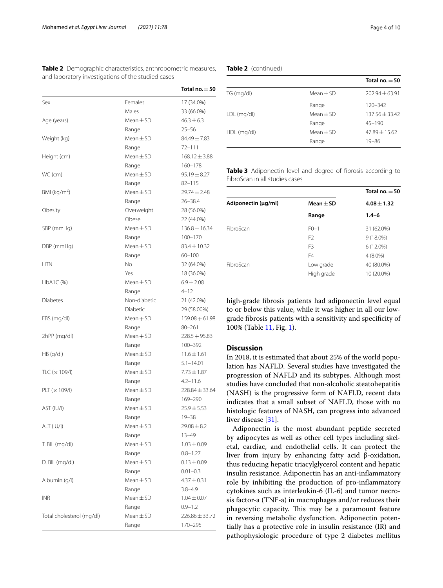|                           |                | Total no. $=$ 50   |
|---------------------------|----------------|--------------------|
| Sex                       | Females        | 17 (34.0%)         |
|                           | Males          | 33 (66.0%)         |
| Age (years)               | Mean $\pm$ SD  | $46.3 \pm 6.3$     |
|                           | Range          | $25 - 56$          |
| Weight (kg)               | $Mean \pm SD$  | 84.49±7.83         |
|                           | Range          | $72 - 111$         |
| Height (cm)               | $Mean + SD$    | $168.12 \pm 3.88$  |
|                           | Range          | $160 - 178$        |
| WC (cm)                   | Mean $\pm$ SD  | $95.19 \pm 8.27$   |
|                           | Range          | $82 - 115$         |
| BMI ( $\text{kg/m}^2$ )   | Mean $\pm$ SD  | $29.74 \pm 2.48$   |
|                           | Range          | $26 - 38.4$        |
| Obesity                   | Overweight     | 28 (56.0%)         |
|                           | Obese          | 22 (44.0%)         |
| SBP (mmHg)                | Mean $\pm$ SD  | $136.8 \pm 16.34$  |
|                           | Range          | $100 - 170$        |
| DBP (mmHg)                | $Mean + SD$    | $83.4 \pm 10.32$   |
|                           | Range          | $60 - 100$         |
| <b>HTN</b>                | N <sub>o</sub> | 32 (64.0%)         |
|                           | Yes            | 18 (36.0%)         |
| HbA1C (%)                 | Mean $\pm$ SD  | $6.9 \pm 2.08$     |
|                           | Range          | $4 - 12$           |
| <b>Diabetes</b>           | Non-diabetic   | 21 (42.0%)         |
|                           | Diabetic       | 29 (58.00%)        |
| FBS (mg/dl)               | Mean + SD      | $159.08 + 61.98$   |
|                           | Range          | $80 - 261$         |
| 2hPP (mg/dl)              | Mean + SD      | $228.5 + 95.83$    |
|                           | Range          | 100-392            |
| HB (q/dl)                 | Mean $\pm$ SD  | $11.6 \pm 1.61$    |
|                           | Range          | $5.1 - 14.01$      |
| TLC $(x 109/l)$           | Mean $\pm$ SD  | $7.73 \pm 1.87$    |
|                           | Range          | $4.2 - 11.6$       |
| PLT (x 109/l)             | Mean $\pm$ SD  | 228.84 ± 33.64     |
|                           | Range          | 169-290            |
| AST (IU/I)                | $Mean \pm SD$  | $25.9 \pm 5.53$    |
|                           | Range          | 19-38              |
| ALT (IU/I)                | Mean $\pm$ SD  | $29.08 \pm 8.2$    |
|                           | Range          | 13-49              |
| T. BIL (mg/dl)            | Mean $\pm$ SD  | $1.03 \pm 0.09$    |
|                           | Range          | $0.8 - 1.27$       |
| D. BIL (mg/dl)            | $Mean \pm SD$  | $0.13 \pm 0.09$    |
|                           | Range          | $0.01 - 0.3$       |
| Albumin (q/l)             | Mean $\pm$ SD  | 4.37±0.31          |
|                           | Range          | $3.8 - 4.9$        |
| INR                       | Mean $\pm$ SD  | $1.04 \pm 0.07$    |
|                           | Range          | $0.9 - 1.2$        |
| Total cholesterol (mg/dl) | Mean $\pm$ SD  | $226.86 \pm 33.72$ |
|                           | Range          |                    |

<span id="page-3-0"></span>**Table 2** Demographic characteristics, anthropometric measures, and laboratory investigations of the studied cases

## **Table 2** (continued)

|             |               | Total no. $=$ 50   |
|-------------|---------------|--------------------|
| TG (mg/dl)  | $Mean \pm SD$ | $202.94 \pm 63.91$ |
|             | Range         | $120 - 342$        |
| LDL (mg/dl) | $Mean \pm SD$ | $137.56 + 33.42$   |
|             | Range         | $45 - 190$         |
| HDL (mg/dl) | $Mean \pm SD$ | $47.89 + 15.62$    |
|             | Range         | 19-86              |

<span id="page-3-1"></span>**Table 3** Adiponectin level and degree of fbrosis according to FibroScan in all studies cases

|                     |                | Total no. $=$ 50 |
|---------------------|----------------|------------------|
| Adiponectin (µg/ml) | $Mean + SD$    | $4.08 + 1.32$    |
|                     | Range          | $1.4 - 6$        |
| FibroScan           | $F() - 1$      | 31 (62.0%)       |
|                     | F <sub>2</sub> | $9(18.0\%)$      |
|                     | F <sub>3</sub> | $6(12.0\%)$      |
|                     | F4             | $4(8.0\%)$       |
| FibroScan           | Low grade      | 40 (80.0%)       |
|                     | High grade     | 10 (20.0%)       |

high-grade fbrosis patients had adiponectin level equal to or below this value, while it was higher in all our lowgrade fbrosis patients with a sensitivity and specifcity of 100% (Table [11](#page-6-0), Fig. [1\)](#page-6-1).

# **Discussion**

In 2018, it is estimated that about 25% of the world population has NAFLD. Several studies have investigated the progression of NAFLD and its subtypes. Although most studies have concluded that non-alcoholic steatohepatitis (NASH) is the progressive form of NAFLD, recent data indicates that a small subset of NAFLD, those with no histologic features of NASH, can progress into advanced liver disease [[31\]](#page-9-5).

Adiponectin is the most abundant peptide secreted by adipocytes as well as other cell types including skeletal, cardiac, and endothelial cells. It can protect the liver from injury by enhancing fatty acid β-oxidation, thus reducing hepatic triacylglycerol content and hepatic insulin resistance. Adiponectin has an anti-infammatory role by inhibiting the production of pro-infammatory cytokines such as interleukin-6 (IL-6) and tumor necrosis factor-a (TNF-a) in macrophages and/or reduces their phagocytic capacity. This may be a paramount feature in reversing metabolic dysfunction. Adiponectin potentially has a protective role in insulin resistance (IR) and pathophysiologic procedure of type 2 diabetes mellitus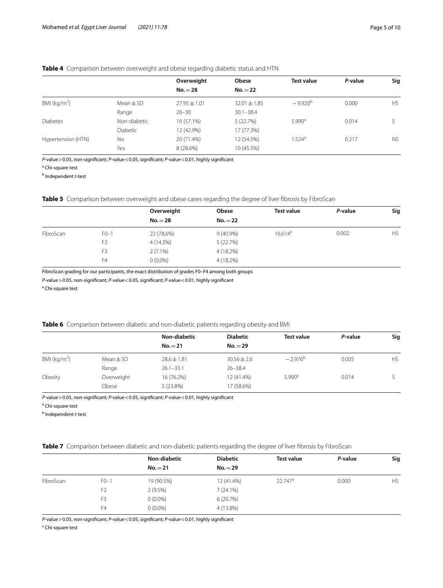# <span id="page-4-0"></span>**Table 4** Comparison between overweight and obese regarding diabetic status and HTN

|                    |                 | Overweight       | <b>Obese</b>     | <b>Test value</b>    | P-value | Sig       |
|--------------------|-----------------|------------------|------------------|----------------------|---------|-----------|
|                    |                 | $No.=28$         | $No.=22$         |                      |         |           |
| BMI ( $kg/m2$ )    | Mean $\pm$ SD   | $27.95 \pm 1.01$ | $32.01 \pm 1.85$ | $-9.920^{b}$         | 0.000   | <b>HS</b> |
|                    | Range           | $26 - 30$        | $30.1 - 38.4$    |                      |         |           |
| <b>Diabetes</b>    | Non-diabetic    | 16 (57.1%)       | 5(22.7%)         | 5.990 <sup>a</sup>   | 0.014   |           |
|                    | <b>Diabetic</b> | 12 (42.9%)       | 17 (77.3%)       |                      |         |           |
| Hypertension (HTN) | <b>No</b>       | 20 (71.4%)       | 12 (54.5%)       | $1.524$ <sup>a</sup> | 0.217   | <b>NS</b> |
|                    | Yes             | 8 (28.6%)        | 10 (45.5%)       |                      |         |           |

*P*-value>0.05, non-signifcant; *P*-value<0.05, signifcant; *P*-value<0.01, highly signifcant

<sup>a</sup> Chi-square test

b Independent *t*-test

# <span id="page-4-1"></span>**Table 5** Comparison between overweight and obese cases regarding the degree of liver fibrosis by FibroScan

|           |                | Overweight | Obese       | <b>Test value</b> | P-value | Sig       |
|-----------|----------------|------------|-------------|-------------------|---------|-----------|
|           |                | $No.=28$   | $No.=22$    |                   |         |           |
| FibroScan | $FO-1$         | 22 (78.6%) | $9(40.9\%)$ | $16.614^a$        | 0.002   | <b>HS</b> |
|           | F <sub>2</sub> | 4(14.3%)   | 5(22.7%)    |                   |         |           |
|           | F <sub>3</sub> | $2(7.1\%)$ | 4 (18.2%)   |                   |         |           |
|           | F4             | $0(0.0\%)$ | $4(18.2\%)$ |                   |         |           |

FibroScan grading for our participants, the exact distribution of grades F0–F4 among both groups

*P*-value>0.05, non-signifcant; *P*-value<0.05, signifcant; *P*-value<0.01, highly signifcant

<sup>a</sup> Chi-square test

# <span id="page-4-2"></span>**Table 6** Comparison between diabetic and non-diabetic patients regarding obesity and BMI

|                 |               | Non-diabetic    | <b>Diabetic</b> | <b>Test value</b>  | P-value | Sig       |
|-----------------|---------------|-----------------|-----------------|--------------------|---------|-----------|
|                 |               | $No.=21$        | $No.=29$        |                    |         |           |
| BMI ( $kg/m2$ ) | Mean $\pm$ SD | $28.6 \pm 1.81$ | $30.56 \pm 2.6$ | $-2.976^{b}$       | 0.005   | <b>HS</b> |
|                 | Range         | $26.1 - 33.1$   | $26 - 38.4$     |                    |         |           |
| Obesity         | Overweight    | 16 (76.2%)      | 12 (41.4%)      | $5.990^{\text{a}}$ | 0.014   |           |
|                 | Obese         | $5(23.8\%)$     | 17 (58.6%)      |                    |         |           |

*P*-value>0.05, non-signifcant; *P*-value<0.05, signifcant; *P*-value<0.01, highly signifcant

<sup>a</sup> Chi-square test

b Independent *t*-test

<span id="page-4-3"></span>**Table 7** Comparison between diabetic and non-diabetic patients regarding the degree of liver fibrosis by FibroScan

|           |                | Non-diabetic | <b>Diabetic</b> | <b>Test value</b> | P-value | Sig       |
|-----------|----------------|--------------|-----------------|-------------------|---------|-----------|
|           |                | $No.=21$     | $No.=29$        |                   |         |           |
| FibroScan | $F0-1$         | 19 (90.5%)   | 12 (41.4%)      | $22.747^a$        | 0.000   | <b>HS</b> |
|           | F <sub>2</sub> | 2(9.5%)      | 7(24.1%)        |                   |         |           |
|           | F3             | $0(0.0\%)$   | 6(20.7%)        |                   |         |           |
|           | F4             | $0(0.0\%)$   | 4 (13.8%)       |                   |         |           |

*P*-value>0.05, non-signifcant; *P*-value<0.05, signifcant; *P*-value<0.01, highly signifcant

<sup>a</sup> Chi-square test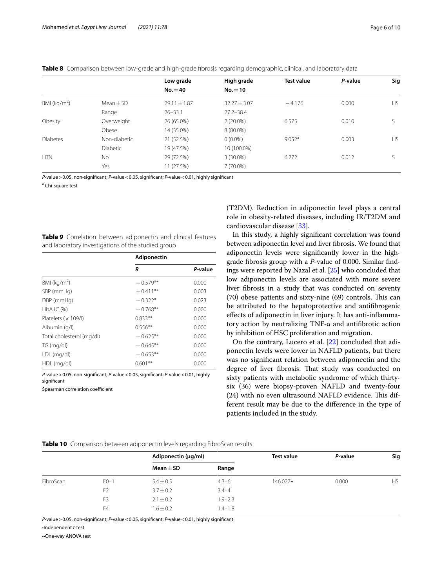<span id="page-5-0"></span>

|  |  |  | Table 8 Comparison between low-grade and high-grade fibrosis regarding demographic, clinical, and laboratory data |  |
|--|--|--|-------------------------------------------------------------------------------------------------------------------|--|
|  |  |  |                                                                                                                   |  |

|                 | Low grade        | High grade     | <b>Test value</b>    | P-value | Sig       |
|-----------------|------------------|----------------|----------------------|---------|-----------|
|                 | $No.=40$         | $No.=10$       |                      |         |           |
| Mean $\pm$ SD   | $29.11 \pm 1.87$ | $32.27 + 3.07$ | $-4.176$             | 0.000   | <b>HS</b> |
| Range           | $26 - 33.1$      | $27.2 - 38.4$  |                      |         |           |
| Overweight      | 26 (65.0%)       | $2(20.0\%)$    | 6.575                | 0.010   |           |
| Obese           | 14 (35.0%)       | 8 (80.0%)      |                      |         |           |
| Non-diabetic    | 21 (52.5%)       | $0(0.0\%)$     | $9.052$ <sup>a</sup> | 0.003   | <b>HS</b> |
| <b>Diabetic</b> | 19 (47.5%)       | 10 (100.0%)    |                      |         |           |
| No.             | 29 (72.5%)       | $3(30.0\%)$    | 6.272                | 0.012   |           |
| Yes             | 11 (27.5%)       | 7 (70.0%)      |                      |         |           |
|                 |                  |                |                      |         |           |

*P*-value>0.05, non-signifcant; *P*-value<0.05, signifcant; *P*-value<0.01, highly signifcant

<sup>a</sup> Chi-square test

<span id="page-5-1"></span>

|  | <b>Table 9</b> Correlation between adiponectin and clinical features |  |  |
|--|----------------------------------------------------------------------|--|--|
|  | and laboratory investigations of the studied group                   |  |  |

|                           | Adiponectin |         |  |
|---------------------------|-------------|---------|--|
|                           | R           | P-value |  |
| BMI ( $kg/m2$ )           | $-0.579**$  | 0.000   |  |
| SBP (mmHg)                | $-0.411**$  | 0.003   |  |
| DBP (mmHg)                | $-0.322*$   | 0.023   |  |
| HbA1C (%)                 | $-0.768**$  | 0.000   |  |
| Platelets $(x 109/l)$     | $0.833**$   | 0.000   |  |
| Albumin (g/l)             | $0.556**$   | 0.000   |  |
| Total cholesterol (mg/dl) | $-0.625**$  | 0.000   |  |
| TG (mg/dl)                | $-0.645**$  | 0.000   |  |
| LDL (mg/dl)               | $-0.653**$  | 0.000   |  |
| HDL (mg/dl)               | $0.601**$   | 0.000   |  |

*P*-value>0.05, non-signifcant; *P*-value<0.05, signifcant; *P*-value<0.01, highly significant

Spearman correlation coefficient

(T2DM). Reduction in adiponectin level plays a central role in obesity-related diseases, including IR/T2DM and cardiovascular disease [\[33](#page-9-6)].

In this study, a highly signifcant correlation was found between adiponectin level and liver fbrosis. We found that adiponectin levels were signifcantly lower in the highgrade fbrosis group with a *P*-value of 0.000. Similar fndings were reported by Nazal et al. [\[25\]](#page-9-7) who concluded that low adiponectin levels are associated with more severe liver fbrosis in a study that was conducted on seventy  $(70)$  obese patients and sixty-nine  $(69)$  controls. This can be attributed to the hepatoprotective and antifbrogenic efects of adiponectin in liver injury. It has anti-infammatory action by neutralizing TNF-α and antifbrotic action by inhibition of HSC proliferation and migration.

On the contrary, Lucero et al. [\[22\]](#page-9-1) concluded that adiponectin levels were lower in NAFLD patients, but there was no signifcant relation between adiponectin and the degree of liver fibrosis. That study was conducted on sixty patients with metabolic syndrome of which thirtysix (36) were biopsy-proven NAFLD and twenty-four  $(24)$  with no even ultrasound NAFLD evidence. This different result may be due to the diference in the type of patients included in the study.

#### <span id="page-5-2"></span>**Table 10** Comparison between adiponectin levels regarding FibroScan results

|           |                | Adiponectin (µg/ml) |             | <b>Test value</b> | P-value | Sig       |
|-----------|----------------|---------------------|-------------|-------------------|---------|-----------|
|           |                | Mean $\pm$ SD       | Range       |                   |         |           |
| FibroScan | $F0-1$         | $5.4 \pm 0.5$       | $4.3 - 6$   | $146.027 \cdot$   | 0.000   | <b>HS</b> |
|           | F <sub>2</sub> | $3.7 \pm 0.2$       | $3.4 - 4$   |                   |         |           |
|           | F <sub>3</sub> | $2.1 \pm 0.2$       | $1.9 - 2.3$ |                   |         |           |
|           | F <sub>4</sub> | $1.6 \pm 0.2$       | $1.4 - 1.8$ |                   |         |           |

*P*-value>0.05, non-signifcant; *P*-value<0.05, signifcant; *P*-value<0.01, highly signifcant

•Independent *t*-test

••One-way ANOVA test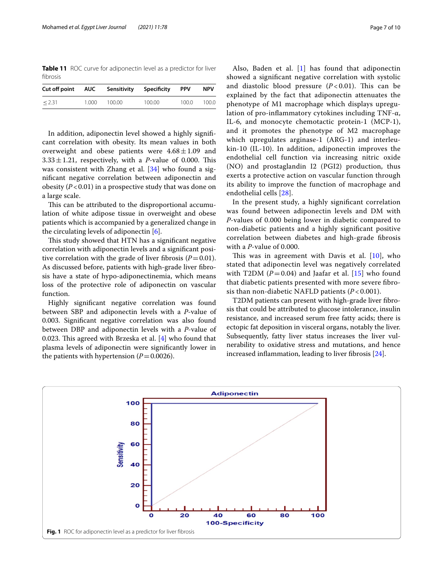<span id="page-6-0"></span>**Table 11** ROC curve for adiponectin level as a predictor for liver fbrosis

| Cut off point AUC Sensitivity Specificity |       |        |        | <b>PPV</b> | NPV.  |
|-------------------------------------------|-------|--------|--------|------------|-------|
| < 2.31                                    | 1.000 | 100.00 | 100.00 | 100.0      | 100.0 |

In addition, adiponectin level showed a highly signifcant correlation with obesity. Its mean values in both overweight and obese patients were  $4.68 \pm 1.09$  and  $3.33 \pm 1.21$ , respectively, with a *P*-value of 0.000. This was consistent with Zhang et al. [[34](#page-9-4)] who found a signifcant negative correlation between adiponectin and obesity  $(P<0.01)$  in a prospective study that was done on a large scale.

This can be attributed to the disproportional accumulation of white adipose tissue in overweight and obese patients which is accompanied by a generalized change in the circulating levels of adiponectin [[6](#page-9-8)].

This study showed that HTN has a significant negative correlation with adiponectin levels and a signifcant positive correlation with the grade of liver fibrosis  $(P=0.01)$ . As discussed before, patients with high-grade liver fbrosis have a state of hypo-adiponectinemia, which means loss of the protective role of adiponectin on vascular function.

Highly signifcant negative correlation was found between SBP and adiponectin levels with a *P*-value of 0.003. Signifcant negative correlation was also found between DBP and adiponectin levels with a *P*-value of 0.023. This agreed with Brzeska et al.  $[4]$  who found that plasma levels of adiponectin were signifcantly lower in the patients with hypertension  $(P=0.0026)$ .

Also, Baden et al. [[1](#page-9-10)] has found that adiponectin showed a signifcant negative correlation with systolic and diastolic blood pressure  $(P<0.01)$ . This can be explained by the fact that adiponectin attenuates the phenotype of M1 macrophage which displays upregulation of pro-infammatory cytokines including TNF-α, IL-6, and monocyte chemotactic protein-1 (MCP-1), and it promotes the phenotype of M2 macrophage which upregulates arginase-1 (ARG-1) and interleukin-10 (IL-10). In addition, adiponectin improves the endothelial cell function via increasing nitric oxide (NO) and prostaglandin I2 (PGI2) production, thus exerts a protective action on vascular function through its ability to improve the function of macrophage and endothelial cells [\[28\]](#page-9-11).

In the present study, a highly signifcant correlation was found between adiponectin levels and DM with *P*-values of 0.000 being lower in diabetic compared to non-diabetic patients and a highly signifcant positive correlation between diabetes and high-grade fbrosis with a *P*-value of 0.000.

This was in agreement with Davis et al.  $[10]$  $[10]$ , who stated that adiponectin level was negatively correlated with T2DM  $(P=0.04)$  and Jaafar et al.  $[15]$  $[15]$  $[15]$  who found that diabetic patients presented with more severe fbrosis than non-diabetic NAFLD patients (*P* < 0.001).

T2DM patients can present with high-grade liver fibrosis that could be attributed to glucose intolerance, insulin resistance, and increased serum free fatty acids; there is ectopic fat deposition in visceral organs, notably the liver. Subsequently, fatty liver status increases the liver vulnerability to oxidative stress and mutations, and hence increased infammation, leading to liver fbrosis [\[24\]](#page-9-14).

<span id="page-6-1"></span>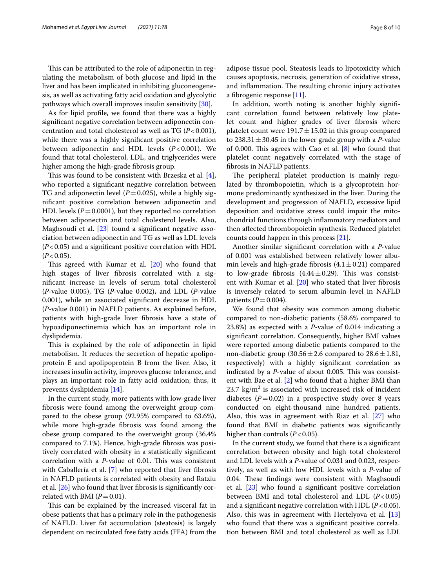This can be attributed to the role of adiponectin in regulating the metabolism of both glucose and lipid in the liver and has been implicated in inhibiting gluconeogenesis, as well as activating fatty acid oxidation and glycolytic pathways which overall improves insulin sensitivity [[30](#page-9-15)].

As for lipid profle, we found that there was a highly signifcant negative correlation between adiponectin concentration and total cholesterol as well as TG (*P*<0.001), while there was a highly signifcant positive correlation between adiponectin and HDL levels (*P*<0.001). We found that total cholesterol, LDL, and triglycerides were higher among the high-grade fbrosis group.

This was found to be consistent with Brzeska et al.  $[4]$  $[4]$ , who reported a signifcant negative correlation between TG and adiponectin level  $(P=0.025)$ , while a highly signifcant positive correlation between adiponectin and HDL levels  $(P=0.0001)$ , but they reported no correlation between adiponectin and total cholesterol levels. Also, Maghsoudi et al.  $[23]$  $[23]$  found a significant negative association between adiponectin and TG as well as LDL levels (*P*<0.05) and a signifcant positive correlation with HDL  $(P<0.05)$ .

This agreed with Kumar et al.  $[20]$  $[20]$  who found that high stages of liver fbrosis correlated with a signifcant increase in levels of serum total cholesterol (*P*-value 0.005), TG (*P*-value 0.002), and LDL (*P*-value 0.001), while an associated signifcant decrease in HDL (*P*-value 0.001) in NAFLD patients. As explained before, patients with high-grade liver fbrosis have a state of hypoadiponectinemia which has an important role in dyslipidemia.

This is explained by the role of adiponectin in lipid metabolism. It reduces the secretion of hepatic apolipoprotein E and apolipoprotein B from the liver. Also, it increases insulin activity, improves glucose tolerance, and plays an important role in fatty acid oxidation; thus, it prevents dyslipidemia [\[14](#page-9-18)].

In the current study, more patients with low-grade liver fbrosis were found among the overweight group compared to the obese group (92.95% compared to 63.6%), while more high-grade fbrosis was found among the obese group compared to the overweight group (36.4% compared to 7.1%). Hence, high-grade fbrosis was positively correlated with obesity in a statistically signifcant correlation with a *P*-value of 0.01. This was consistent with Caballería et al. [\[7](#page-9-19)] who reported that liver fibrosis in NAFLD patients is correlated with obesity and Ratziu et al. [\[26](#page-9-20)] who found that liver fbrosis is signifcantly correlated with BMI  $(P=0.01)$ .

This can be explained by the increased visceral fat in obese patients that has a primary role in the pathogenesis of NAFLD. Liver fat accumulation (steatosis) is largely dependent on recirculated free fatty acids (FFA) from the adipose tissue pool. Steatosis leads to lipotoxicity which causes apoptosis, necrosis, generation of oxidative stress, and inflammation. The resulting chronic injury activates a fbrogenic response [[11\]](#page-9-21).

In addition, worth noting is another highly signifcant correlation found between relatively low platelet count and higher grades of liver fbrosis where platelet count were  $191.7 \pm 15.02$  in this group compared to  $238.31 \pm 30.45$  in the lower grade group with a *P*-value of 0.000. This agrees with Cao et al.  $[8]$  $[8]$  who found that platelet count negatively correlated with the stage of fbrosis in NAFLD patients.

The peripheral platelet production is mainly regulated by thrombopoietin, which is a glycoprotein hormone predominantly synthesized in the liver. During the development and progression of NAFLD, excessive lipid deposition and oxidative stress could impair the mitochondrial functions through infammatory mediators and then afected thrombopoietin synthesis. Reduced platelet counts could happen in this process [\[21\]](#page-9-23).

Another similar signifcant correlation with a *P*-value of 0.001 was established between relatively lower albumin levels and high-grade fibrosis  $(4.1 \pm 0.21)$  compared to low-grade fibrosis  $(4.44 \pm 0.29)$ . This was consist-ent with Kumar et al. [\[20\]](#page-9-17) who stated that liver fibrosis is inversely related to serum albumin level in NAFLD patients ( $P = 0.004$ ).

We found that obesity was common among diabetic compared to non-diabetic patients (58.6% compared to 23.8%) as expected with a *P*-value of 0.014 indicating a signifcant correlation. Consequently, higher BMI values were reported among diabetic patients compared to the non-diabetic group  $(30.56 \pm 2.6$  compared to  $28.6 \pm 1.81$ , respectively) with a highly signifcant correlation as indicated by a *P*-value of about 0.005. This was consistent with Bae et al. [\[2](#page-9-24)] who found that a higher BMI than  $23.7 \text{ kg/m}^2$  is associated with increased risk of incident diabetes  $(P=0.02)$  in a prospective study over 8 years conducted on eight-thousand nine hundred patients. Also, this was in agreement with Riaz et al. [[27](#page-9-25)] who found that BMI in diabetic patients was signifcantly higher than controls  $(P<0.05)$ .

In the current study, we found that there is a signifcant correlation between obesity and high total cholesterol and LDL levels with a *P*-value of 0.031 and 0.023, respectively, as well as with low HDL levels with a *P*-value of 0.04. These findings were consistent with Maghsoudi et al. [[23\]](#page-9-16) who found a signifcant positive correlation between BMI and total cholesterol and LDL (*P*<0.05) and a signifcant negative correlation with HDL (*P*<0.05). Also, this was in agreement with Hertelyova et al. [[13](#page-9-26)] who found that there was a signifcant positive correlation between BMI and total cholesterol as well as LDL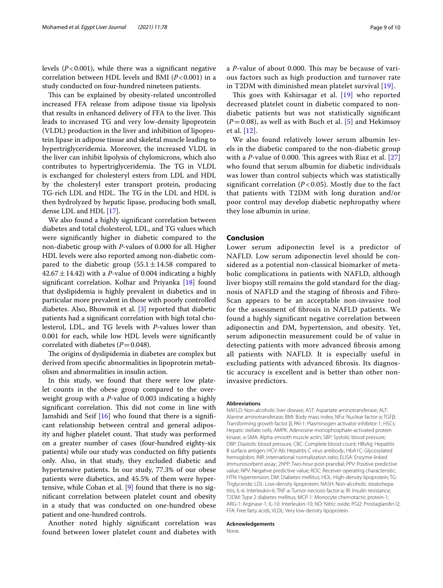levels  $(P<0.001)$ , while there was a significant negative correlation between HDL levels and BMI (*P*<0.001) in a study conducted on four-hundred nineteen patients.

This can be explained by obesity-related uncontrolled increased FFA release from adipose tissue via lipolysis that results in enhanced delivery of FFA to the liver. This leads to increased TG and very low-density lipoprotein (VLDL) production in the liver and inhibition of lipoprotein lipase in adipose tissue and skeletal muscle leading to hypertriglyceridemia. Moreover, the increased VLDL in the liver can inhibit lipolysis of chylomicrons, which also contributes to hypertriglyceridemia. The TG in VLDL is exchanged for cholesteryl esters from LDL and HDL by the cholesteryl ester transport protein, producing TG-rich LDL and HDL. The TG in the LDL and HDL is then hydrolyzed by hepatic lipase, producing both small, dense LDL and HDL [\[17](#page-9-27)].

We also found a highly signifcant correlation between diabetes and total cholesterol, LDL, and TG values which were signifcantly higher in diabetic compared to the non-diabetic group with *P*-values of 0.000 for all. Higher HDL levels were also reported among non-diabetic compared to the diabetic group  $(55.1 \pm 14.58$  compared to  $42.67 \pm 14.42$ ) with a *P*-value of 0.004 indicating a highly signifcant correlation. Kolhar and Priyanka [\[18](#page-9-28)] found that dyslipidemia is highly prevalent in diabetics and in particular more prevalent in those with poorly controlled diabetes. Also, Bhowmik et al. [[3\]](#page-9-29) reported that diabetic patients had a signifcant correlation with high total cholesterol, LDL, and TG levels with *P-*values lower than 0.001 for each, while low HDL levels were signifcantly correlated with diabetes  $(P=0.048)$ .

The origins of dyslipidemia in diabetes are complex but derived from specifc abnormalities in lipoprotein metabolism and abnormalities in insulin action.

In this study, we found that there were low platelet counts in the obese group compared to the overweight group with a *P*-value of 0.003 indicating a highly significant correlation. This did not come in line with Jamshidi and Seif [[16\]](#page-9-30) who found that there is a signifcant relationship between central and general adiposity and higher platelet count. That study was performed on a greater number of cases (four-hundred eighty-six patients) while our study was conducted on ffty patients only. Also, in that study, they excluded diabetic and hypertensive patients. In our study, 77.3% of our obese patients were diabetics, and 45.5% of them were hypertensive, while Coban et al. [\[9](#page-9-31)] found that there is no signifcant correlation between platelet count and obesity in a study that was conducted on one-hundred obese patient and one-hundred controls.

Another noted highly signifcant correlation was found between lower platelet count and diabetes with a *P*-value of about 0.000. This may be because of various factors such as high production and turnover rate in T2DM with diminished mean platelet survival [[19\]](#page-9-32).

This goes with Kshirsagar et al. [\[19\]](#page-9-32) who reported decreased platelet count in diabetic compared to nondiabetic patients but was not statistically signifcant  $(P=0.08)$ , as well as with Buch et al. [[5\]](#page-9-33) and Hekimsoy et al. [[12\]](#page-9-34).

We also found relatively lower serum albumin levels in the diabetic compared to the non-diabetic group with a *P*-value of 0.000. This agrees with Riaz et al. [\[27](#page-9-25)] who found that serum albumin for diabetic individuals was lower than control subjects which was statistically significant correlation  $(P < 0.05)$ . Mostly due to the fact that patients with T2DM with long duration and/or poor control may develop diabetic nephropathy where they lose albumin in urine.

### **Conclusion**

Lower serum adiponectin level is a predictor of NAFLD. Low serum adiponectin level should be considered as a potential non-classical biomarker of metabolic complications in patients with NAFLD, although liver biopsy still remains the gold standard for the diagnosis of NAFLD and the staging of fbrosis and Fibro-Scan appears to be an acceptable non-invasive tool for the assessment of fbrosis in NAFLD patients. We found a highly signifcant negative correlation between adiponectin and DM, hypertension, and obesity. Yet, serum adiponectin measurement could be of value in detecting patients with more advanced fbrosis among all patients with NAFLD. It is especially useful in excluding patients with advanced fbrosis. Its diagnostic accuracy is excellent and is better than other noninvasive predictors.

#### **Abbreviations**

NAFLD: Non-alcoholic liver disease; AST: Aspartate aminotransferase; ALT: Alanine aminotransferase; BMI: Body mass index; NFα: Nuclear factor α; TGFβ: Transforming growth factor β; PAI-1: Plasminogen activator inhibitor-1; HSCs: Hepatic stellate cells; AMPK: Adenosine monophosphate-activated protein kinase; α-SMA: Alpha-smooth muscle actin; SBP: Systolic blood pressure; DBP: Diastolic blood pressure; CBC: Complete blood count; HBsAg: Hepatitis B surface antigen; HCV-Ab: Hepatitis C virus antibody; HbA1C: Glycosylated hemoglobin; INR: International normalization ratio; ELISA: Enzyme-linked immunosorbent assay; 2hPP: Two-hour post-prandial; PPV: Positive predictive value; NPV: Negative predictive value; ROC: Receiver operating characteristic; HTN: Hypertension; DM: Diabetes mellitus; HDL: High-density lipoprotein; TG: Triglyceride; LDL: Low-density lipoprotein; NASH: Non-alcoholic steatohepatitis; IL-6: Interleukin-6; TNF-a: Tumor necrosis factor-a; IR: Insulin resistance; T2DM: Type 2 diabetes mellitus; MCP-1: Monocyte chemotactic protein-1; ARG-1: Arginase-1; IL-10: Interleukin-10; NO: Nitric oxide; PGI2: Prostaglandin I2; FFA: Free fatty acids; VLDL: Very low-density lipoprotein.

# **Acknowledgements**

None.